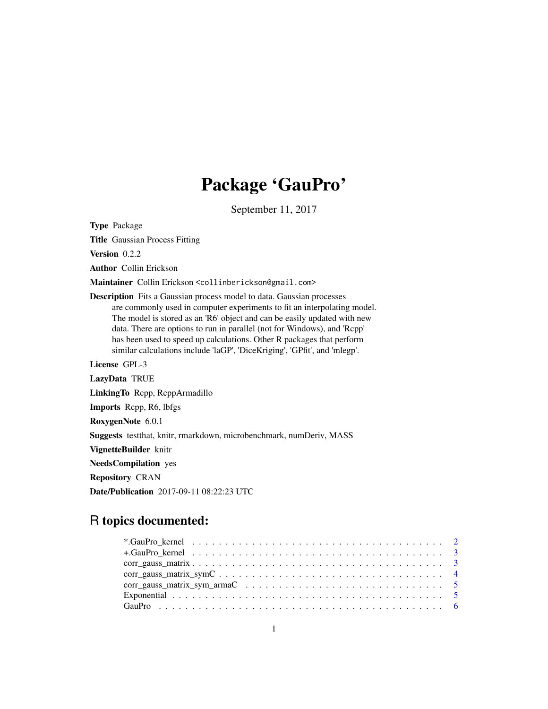# Package 'GauPro'

September 11, 2017

<span id="page-0-0"></span>Type Package

Title Gaussian Process Fitting

Version 0.2.2

Author Collin Erickson

Maintainer Collin Erickson <collinberickson@gmail.com>

Description Fits a Gaussian process model to data. Gaussian processes are commonly used in computer experiments to fit an interpolating model. The model is stored as an 'R6' object and can be easily updated with new data. There are options to run in parallel (not for Windows), and 'Rcpp' has been used to speed up calculations. Other R packages that perform similar calculations include 'laGP', 'DiceKriging', 'GPfit', and 'mlegp'.

License GPL-3

LazyData TRUE LinkingTo Rcpp, RcppArmadillo Imports Rcpp, R6, lbfgs RoxygenNote 6.0.1 Suggests testthat, knitr, rmarkdown, microbenchmark, numDeriv, MASS VignetteBuilder knitr NeedsCompilation yes Repository CRAN

# R topics documented:

Date/Publication 2017-09-11 08:22:23 UTC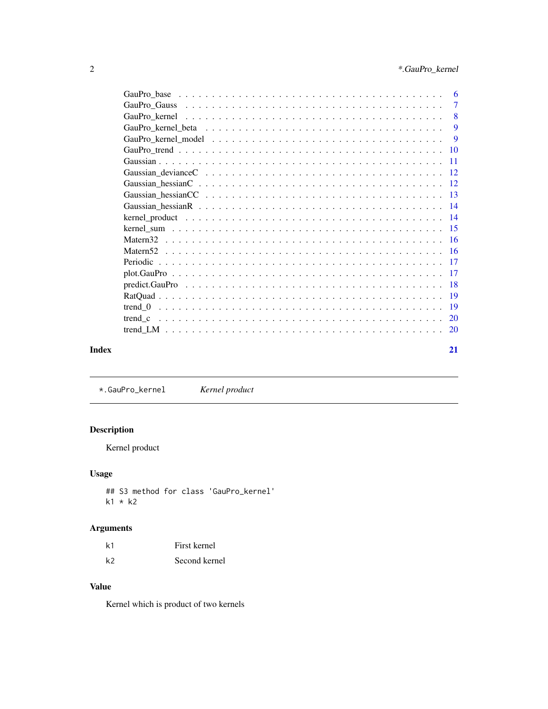<span id="page-1-0"></span>

| Index | 21  |
|-------|-----|
|       |     |
|       |     |
|       |     |
|       |     |
|       |     |
|       |     |
|       |     |
|       |     |
|       |     |
|       |     |
|       |     |
|       |     |
|       |     |
|       |     |
|       |     |
|       |     |
|       |     |
|       | - 9 |
|       |     |
|       | -8  |
|       |     |
|       |     |

\*.GauPro\_kernel *Kernel product*

# Description

Kernel product

# Usage

## S3 method for class 'GauPro\_kernel' k1 \* k2

# Arguments

| k1 | First kernel  |
|----|---------------|
| k2 | Second kernel |

# Value

Kernel which is product of two kernels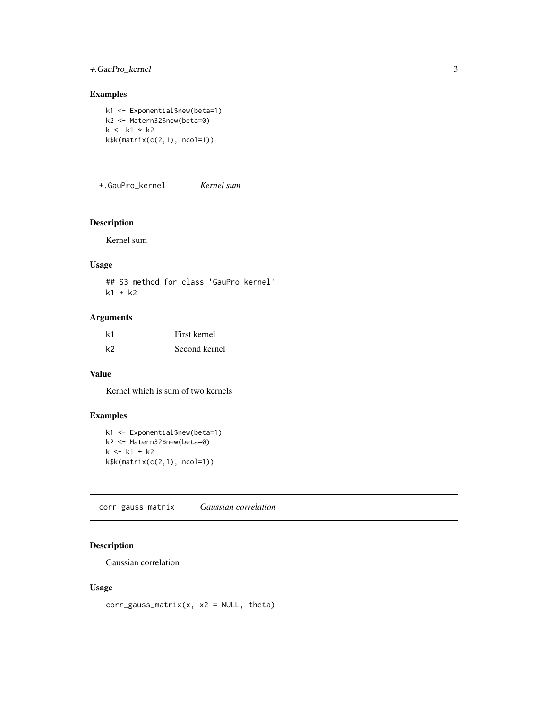# <span id="page-2-0"></span>+.GauPro\_kernel 3

# Examples

```
k1 <- Exponential$new(beta=1)
k2 <- Matern32$new(beta=0)
k <- k1 * k2k$k(matrix(c(2,1), ncol=1))
```
+.GauPro\_kernel *Kernel sum*

#### Description

Kernel sum

# Usage

## S3 method for class 'GauPro\_kernel'  $k1 + k2$ 

# Arguments

| k1             | First kernel  |
|----------------|---------------|
| k <sub>2</sub> | Second kernel |

#### Value

Kernel which is sum of two kernels

# Examples

```
k1 <- Exponential$new(beta=1)
k2 <- Matern32$new(beta=0)
k < - k1 + k2k$k(matrix(c(2,1), ncol=1))
```
corr\_gauss\_matrix *Gaussian correlation*

# Description

Gaussian correlation

# Usage

 $corr_{gauss\_matrix(x, x2 = NULL, theta)}$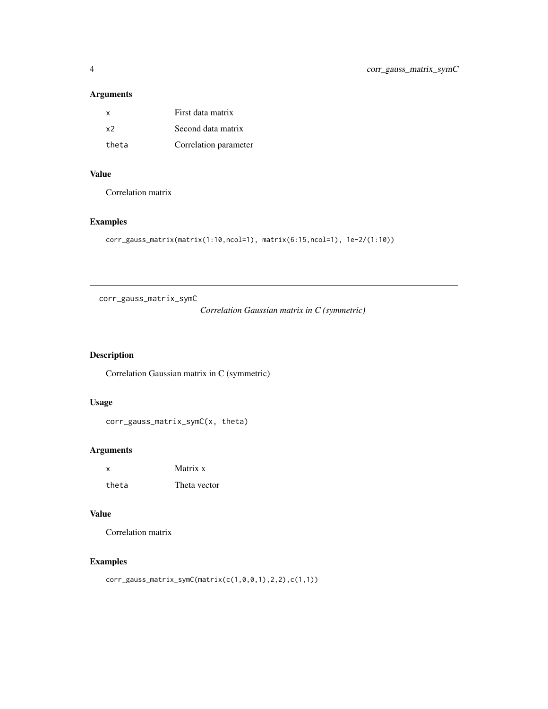# <span id="page-3-0"></span>Arguments

| x              | First data matrix     |
|----------------|-----------------------|
| x <sub>2</sub> | Second data matrix    |
| theta          | Correlation parameter |

# Value

Correlation matrix

# Examples

```
corr_gauss_matrix(matrix(1:10,ncol=1), matrix(6:15,ncol=1), 1e-2/(1:10))
```
corr\_gauss\_matrix\_symC

*Correlation Gaussian matrix in C (symmetric)*

# Description

Correlation Gaussian matrix in C (symmetric)

# Usage

corr\_gauss\_matrix\_symC(x, theta)

# Arguments

| $\boldsymbol{\mathsf{x}}$ | Matrix x     |
|---------------------------|--------------|
| theta                     | Theta vector |

# Value

Correlation matrix

# Examples

```
corr_gauss_matrix_symC(matrix(c(1,0,0,1),2,2),c(1,1))
```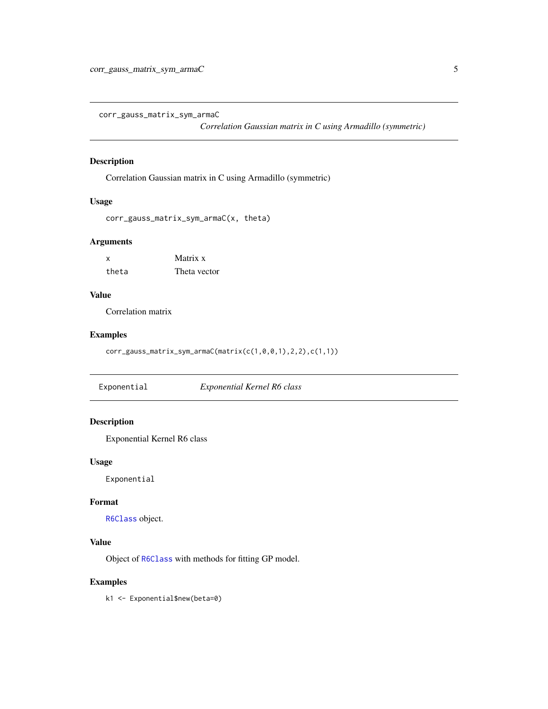<span id="page-4-0"></span>corr\_gauss\_matrix\_sym\_armaC

*Correlation Gaussian matrix in C using Armadillo (symmetric)*

# Description

Correlation Gaussian matrix in C using Armadillo (symmetric)

# Usage

```
corr_gauss_matrix_sym_armaC(x, theta)
```
#### Arguments

| x     | Matrix x     |
|-------|--------------|
| theta | Theta vector |

#### Value

Correlation matrix

#### Examples

corr\_gauss\_matrix\_sym\_armaC(matrix(c(1,0,0,1),2,2),c(1,1))

Exponential *Exponential Kernel R6 class*

# Description

Exponential Kernel R6 class

#### Usage

Exponential

# Format

[R6Class](#page-0-0) object.

# Value

Object of [R6Class](#page-0-0) with methods for fitting GP model.

#### Examples

k1 <- Exponential\$new(beta=0)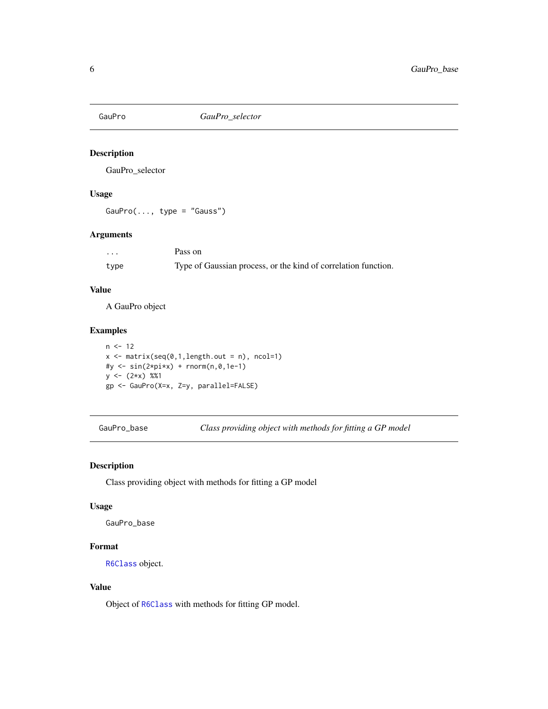<span id="page-5-0"></span>

GauPro\_selector

# Usage

 $GauPro(..., type = "Gauss")$ 

# Arguments

| $\cdots$ | Pass on                                                        |
|----------|----------------------------------------------------------------|
| type     | Type of Gaussian process, or the kind of correlation function. |

#### Value

A GauPro object

# Examples

```
n < -12x \le - matrix(seq(0,1,length.out = n), ncol=1)
#y <- sin(2*pi*x) + rnorm(n,0,1e-1)
y \leftarrow (2*x) %1gp <- GauPro(X=x, Z=y, parallel=FALSE)
```
GauPro\_base *Class providing object with methods for fitting a GP model*

# Description

Class providing object with methods for fitting a GP model

#### Usage

GauPro\_base

# Format

[R6Class](#page-0-0) object.

# Value

Object of [R6Class](#page-0-0) with methods for fitting GP model.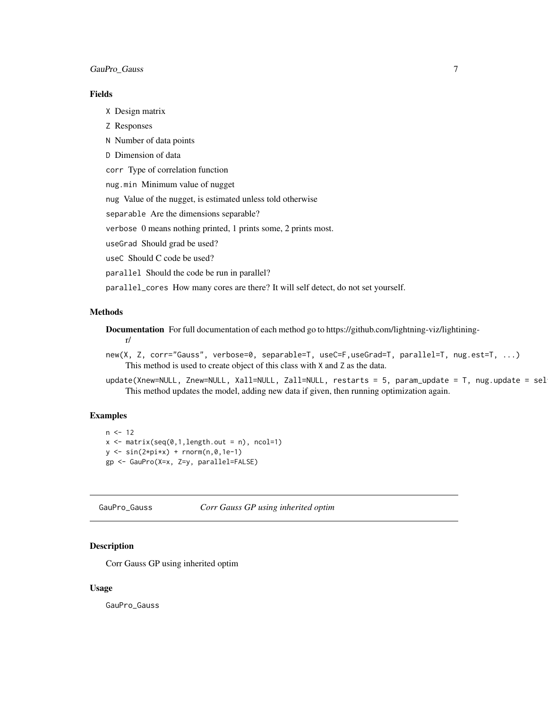#### <span id="page-6-0"></span>Fields

X Design matrix

- Z Responses
- N Number of data points
- D Dimension of data

corr Type of correlation function

nug.min Minimum value of nugget

nug Value of the nugget, is estimated unless told otherwise

separable Are the dimensions separable?

verbose 0 means nothing printed, 1 prints some, 2 prints most.

useGrad Should grad be used?

useC Should C code be used?

parallel Should the code be run in parallel?

parallel\_cores How many cores are there? It will self detect, do not set yourself.

#### Methods

Documentation For full documentation of each method go to https://github.com/lightning-viz/lightiningr/

- new(X, Z, corr="Gauss", verbose=0, separable=T, useC=F,useGrad=T, parallel=T, nug.est=T, ...) This method is used to create object of this class with X and Z as the data.
- update(Xnew=NULL, Znew=NULL, Xall=NULL, Zall=NULL, restarts = 5, param\_update = T, nug.update = sel This method updates the model, adding new data if given, then running optimization again.

#### Examples

```
n < -12x \le - matrix(seq(0,1,length.out = n), ncol=1)
y \leftarrow \sin(2 \times \pi) + \text{norm}(n, \theta, 1e-1)gp <- GauPro(X=x, Z=y, parallel=FALSE)
```
GauPro\_Gauss *Corr Gauss GP using inherited optim*

# Description

Corr Gauss GP using inherited optim

#### Usage

GauPro\_Gauss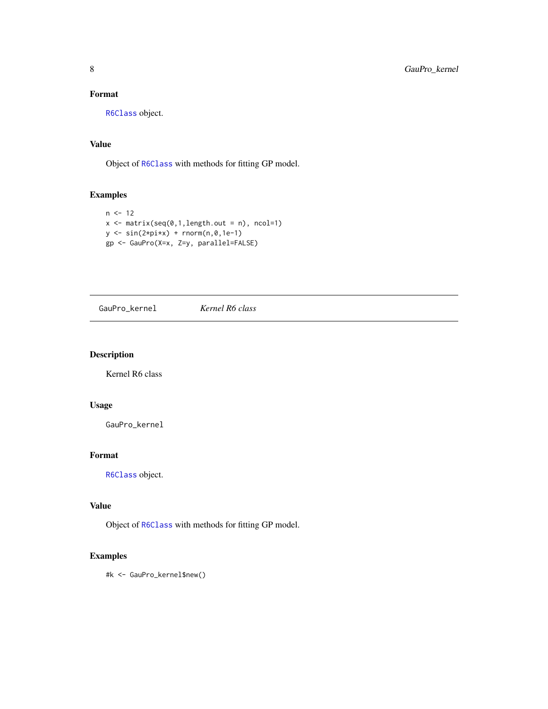# <span id="page-7-0"></span>Format

[R6Class](#page-0-0) object.

# Value

Object of [R6Class](#page-0-0) with methods for fitting GP model.

# Examples

```
n < -12x \le - matrix(seq(0,1,length.out = n), ncol=1)
y \le -\sin(2\pi x) + \text{norm}(n, 0, 1e-1)gp <- GauPro(X=x, Z=y, parallel=FALSE)
```
GauPro\_kernel *Kernel R6 class*

# Description

Kernel R6 class

# Usage

GauPro\_kernel

# Format

[R6Class](#page-0-0) object.

# Value

Object of [R6Class](#page-0-0) with methods for fitting GP model.

# Examples

#k <- GauPro\_kernel\$new()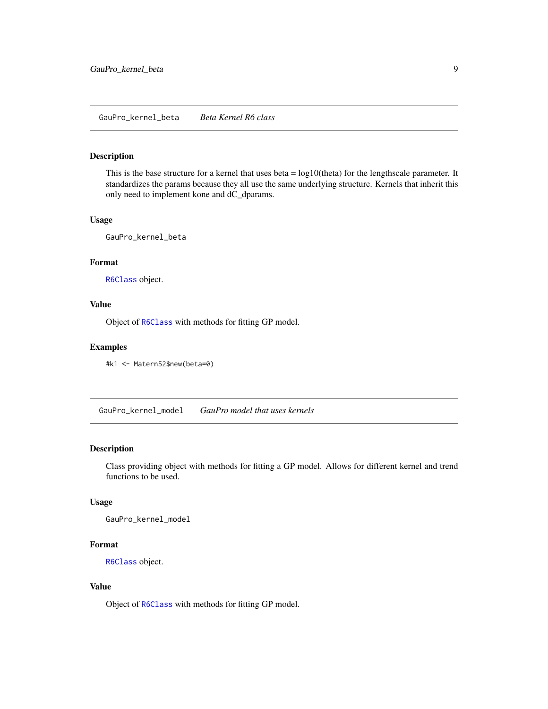<span id="page-8-0"></span>This is the base structure for a kernel that uses beta = log10(theta) for the lengthscale parameter. It standardizes the params because they all use the same underlying structure. Kernels that inherit this only need to implement kone and dC\_dparams.

#### Usage

GauPro\_kernel\_beta

# Format

[R6Class](#page-0-0) object.

# Value

Object of [R6Class](#page-0-0) with methods for fitting GP model.

#### Examples

#k1 <- Matern52\$new(beta=0)

GauPro\_kernel\_model *GauPro model that uses kernels*

#### Description

Class providing object with methods for fitting a GP model. Allows for different kernel and trend functions to be used.

# Usage

GauPro\_kernel\_model

# Format

[R6Class](#page-0-0) object.

# Value

Object of [R6Class](#page-0-0) with methods for fitting GP model.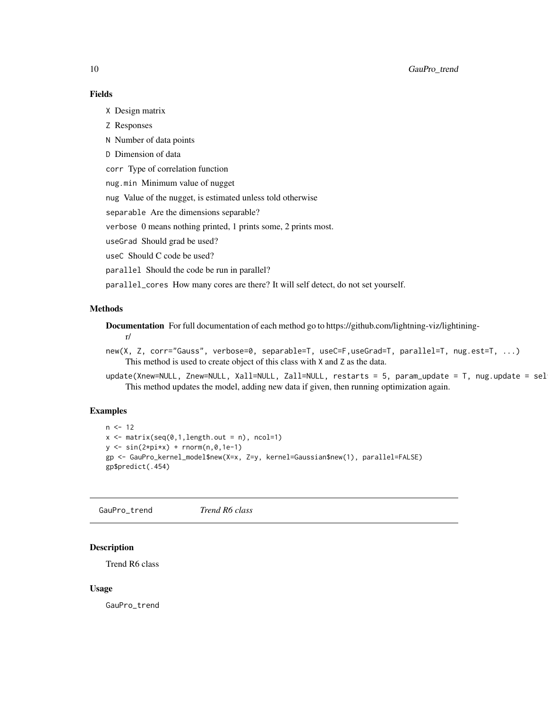# Fields

X Design matrix

- Z Responses
- N Number of data points
- D Dimension of data

corr Type of correlation function

nug.min Minimum value of nugget

nug Value of the nugget, is estimated unless told otherwise

separable Are the dimensions separable?

verbose 0 means nothing printed, 1 prints some, 2 prints most.

useGrad Should grad be used?

useC Should C code be used?

parallel Should the code be run in parallel?

parallel\_cores How many cores are there? It will self detect, do not set yourself.

#### Methods

Documentation For full documentation of each method go to https://github.com/lightning-viz/lightining-

r/

- new(X, Z, corr="Gauss", verbose=0, separable=T, useC=F,useGrad=T, parallel=T, nug.est=T, ...) This method is used to create object of this class with X and Z as the data.
- update(Xnew=NULL, Znew=NULL, Xall=NULL, Zall=NULL, restarts = 5, param\_update = T, nug.update = sel This method updates the model, adding new data if given, then running optimization again.

#### Examples

```
n < -12x \le - matrix(seq(0,1,length.out = n), ncol=1)
y \leftarrow \sin(2 \times \pi) + \text{norm}(n, \emptyset, 1e-1)gp <- GauPro_kernel_model$new(X=x, Z=y, kernel=Gaussian$new(1), parallel=FALSE)
gp$predict(.454)
```
GauPro\_trend *Trend R6 class*

#### Description

Trend R6 class

#### Usage

GauPro\_trend

<span id="page-9-0"></span>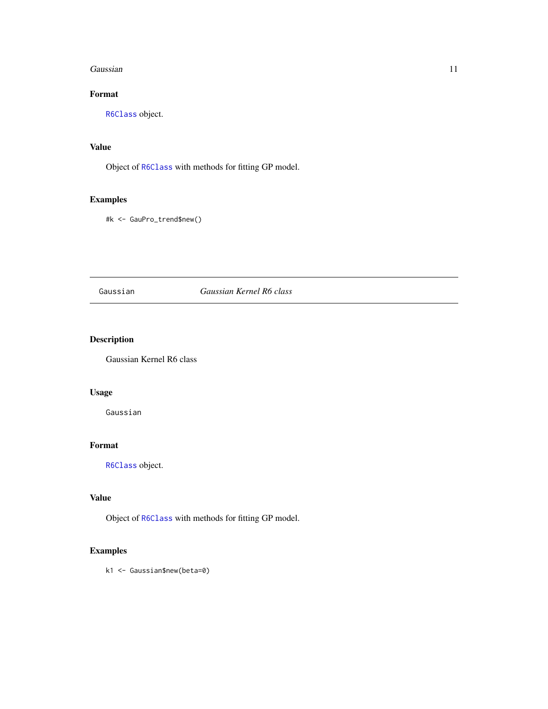#### <span id="page-10-0"></span>Gaussian **11**

# Format

[R6Class](#page-0-0) object.

#### Value

Object of [R6Class](#page-0-0) with methods for fitting GP model.

# Examples

#k <- GauPro\_trend\$new()

#### Gaussian *Gaussian Kernel R6 class*

# Description

Gaussian Kernel R6 class

# Usage

Gaussian

# Format

[R6Class](#page-0-0) object.

# Value

Object of [R6Class](#page-0-0) with methods for fitting GP model.

# Examples

k1 <- Gaussian\$new(beta=0)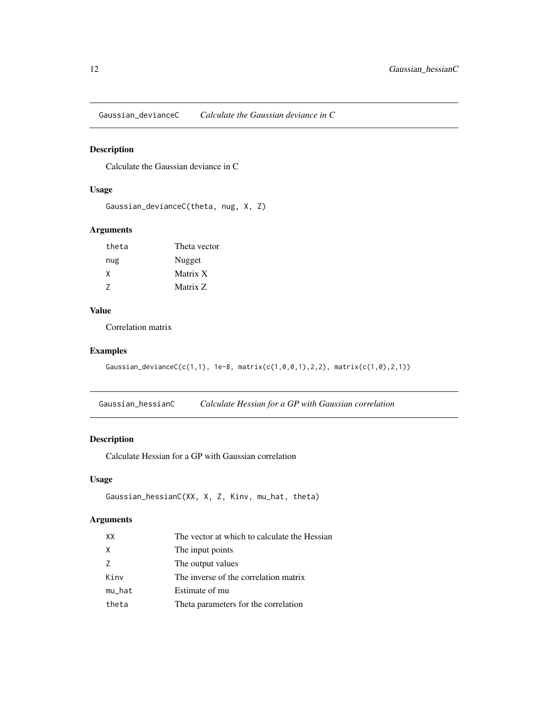<span id="page-11-0"></span>Gaussian\_devianceC *Calculate the Gaussian deviance in C*

#### Description

Calculate the Gaussian deviance in C

# Usage

```
Gaussian_devianceC(theta, nug, X, Z)
```
# Arguments

| theta | Theta vector |
|-------|--------------|
| nug   | Nugget       |
| X     | Matrix X     |
| 7     | Matrix Z     |

# Value

Correlation matrix

#### Examples

```
Gaussian_devianceC(c(1,1), 1e-8, matrix(c(1,0,0,1),2,2), matrix(c(1,0),2,1))
```
Gaussian\_hessianC *Calculate Hessian for a GP with Gaussian correlation*

# Description

Calculate Hessian for a GP with Gaussian correlation

# Usage

```
Gaussian_hessianC(XX, X, Z, Kinv, mu_hat, theta)
```
## Arguments

| XX     | The vector at which to calculate the Hessian |
|--------|----------------------------------------------|
| X      | The input points                             |
| 7      | The output values                            |
| Kinv   | The inverse of the correlation matrix        |
| mu_hat | Estimate of mu                               |
| theta  | Theta parameters for the correlation         |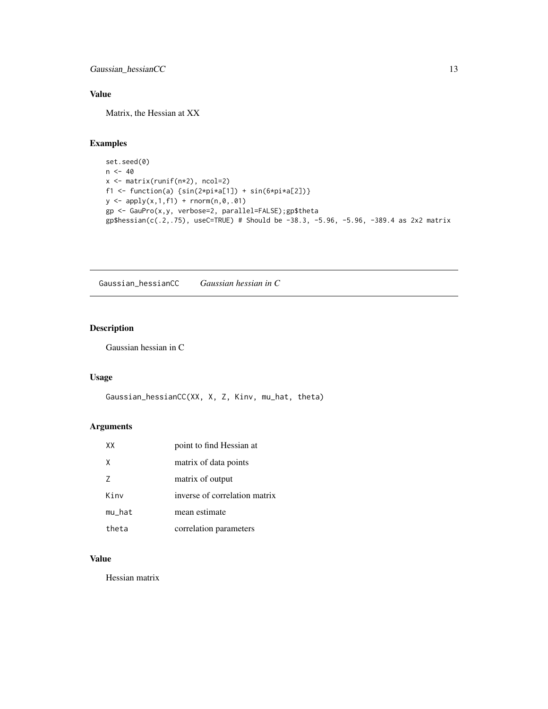<span id="page-12-0"></span>Gaussian\_hessianCC 13

# Value

Matrix, the Hessian at XX

# Examples

```
set.seed(0)
n < -40x <- matrix(runif(n*2), ncol=2)
f1 <- function(a) \{sin(2*pi*a[1]) + sin(6*pi*a[2])\}y \leftarrow apply(x, 1, f1) + rnorm(n, \emptyset, .\emptyset1)gp <- GauPro(x,y, verbose=2, parallel=FALSE);gp$theta
gp$hessian(c(.2,.75), useC=TRUE) # Should be -38.3, -5.96, -5.96, -389.4 as 2x2 matrix
```
Gaussian\_hessianCC *Gaussian hessian in C*

# Description

Gaussian hessian in C

#### Usage

```
Gaussian_hessianCC(XX, X, Z, Kinv, mu_hat, theta)
```
# Arguments

| XX     | point to find Hessian at      |
|--------|-------------------------------|
| X      | matrix of data points         |
| 7      | matrix of output              |
| Kinv   | inverse of correlation matrix |
| mu_hat | mean estimate                 |
| theta  | correlation parameters        |

# Value

Hessian matrix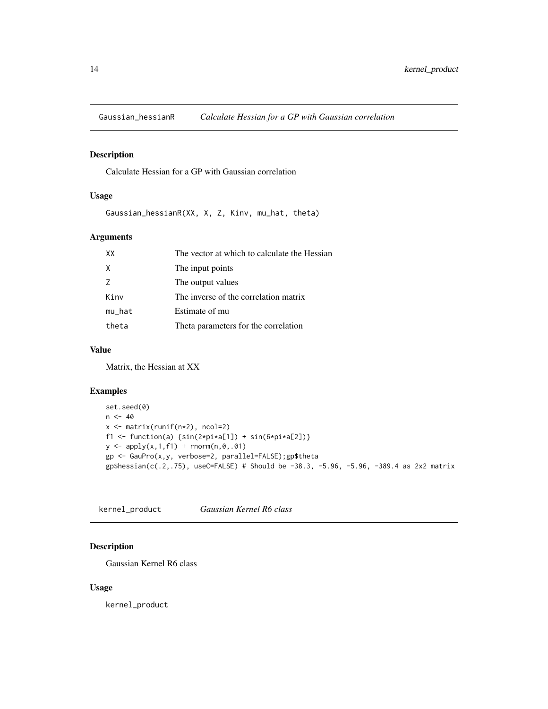<span id="page-13-0"></span>

Calculate Hessian for a GP with Gaussian correlation

# Usage

Gaussian\_hessianR(XX, X, Z, Kinv, mu\_hat, theta)

# Arguments

| XX     | The vector at which to calculate the Hessian |
|--------|----------------------------------------------|
| X      | The input points                             |
| 7      | The output values                            |
| Kinv   | The inverse of the correlation matrix        |
| mu_hat | Estimate of mu                               |
| theta  | Theta parameters for the correlation         |

# Value

Matrix, the Hessian at XX

#### Examples

```
set.seed(0)
n < -40x <- matrix(runif(n*2), ncol=2)
f1 <- function(a) \{sin(2*pi*a[1]) + sin(6*pi*a[2])\}y \leftarrow apply(x, 1, f1) + rnorm(n, \emptyset, .\emptyset1)gp <- GauPro(x,y, verbose=2, parallel=FALSE);gp$theta
gp$hessian(c(.2,.75), useC=FALSE) # Should be -38.3, -5.96, -5.96, -389.4 as 2x2 matrix
```
kernel\_product *Gaussian Kernel R6 class*

# Description

Gaussian Kernel R6 class

#### Usage

kernel\_product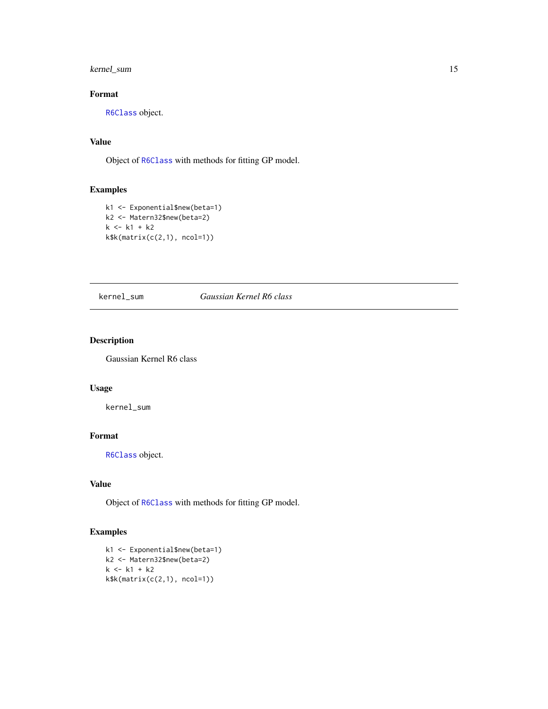<span id="page-14-0"></span>kernel\_sum 15

# Format

[R6Class](#page-0-0) object.

# Value

Object of [R6Class](#page-0-0) with methods for fitting GP model.

# Examples

```
k1 <- Exponential$new(beta=1)
k2 <- Matern32$new(beta=2)
k < - k1 + k2k$k(matrix(c(2,1), ncol=1))
```
# kernel\_sum *Gaussian Kernel R6 class*

# Description

Gaussian Kernel R6 class

# Usage

kernel\_sum

# Format

[R6Class](#page-0-0) object.

#### Value

Object of [R6Class](#page-0-0) with methods for fitting GP model.

# Examples

```
k1 <- Exponential$new(beta=1)
k2 <- Matern32$new(beta=2)
k <- k1 + k2k$k(matrix(c(2,1), ncol=1))
```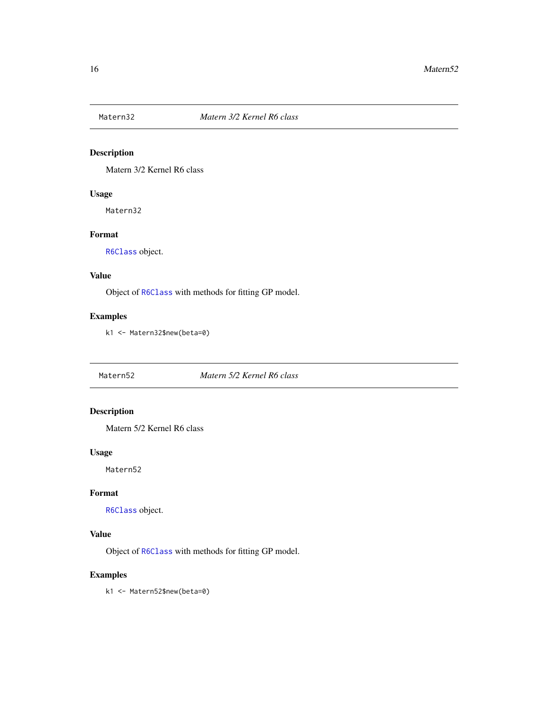<span id="page-15-0"></span>

Matern 3/2 Kernel R6 class

# Usage

Matern32

# Format

[R6Class](#page-0-0) object.

# Value

Object of [R6Class](#page-0-0) with methods for fitting GP model.

# Examples

k1 <- Matern32\$new(beta=0)

Matern52 *Matern 5/2 Kernel R6 class*

# Description

Matern 5/2 Kernel R6 class

# Usage

Matern52

# Format

[R6Class](#page-0-0) object.

#### Value

Object of [R6Class](#page-0-0) with methods for fitting GP model.

# Examples

k1 <- Matern52\$new(beta=0)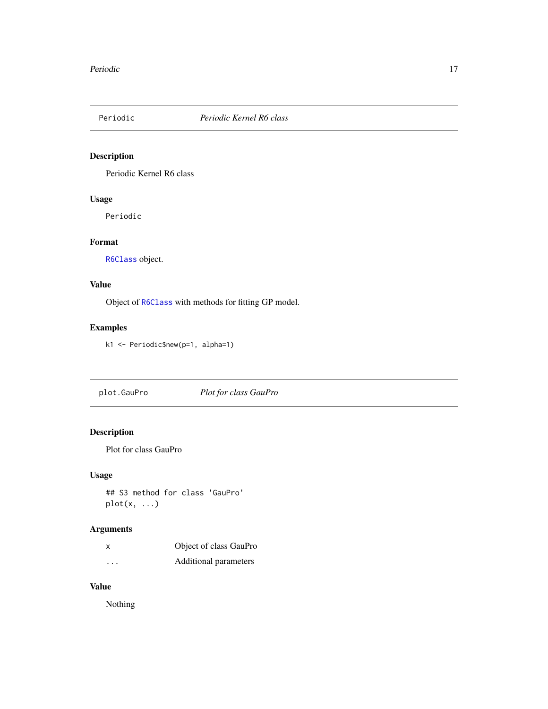<span id="page-16-0"></span>

Periodic Kernel R6 class

# Usage

Periodic

# Format

[R6Class](#page-0-0) object.

# Value

Object of [R6Class](#page-0-0) with methods for fitting GP model.

# Examples

k1 <- Periodic\$new(p=1, alpha=1)

plot.GauPro *Plot for class GauPro*

# Description

Plot for class GauPro

# Usage

## S3 method for class 'GauPro'  $plot(x, \ldots)$ 

# Arguments

| x                    | Object of class GauPro |
|----------------------|------------------------|
| $\ddot{\phantom{0}}$ | Additional parameters  |

# Value

Nothing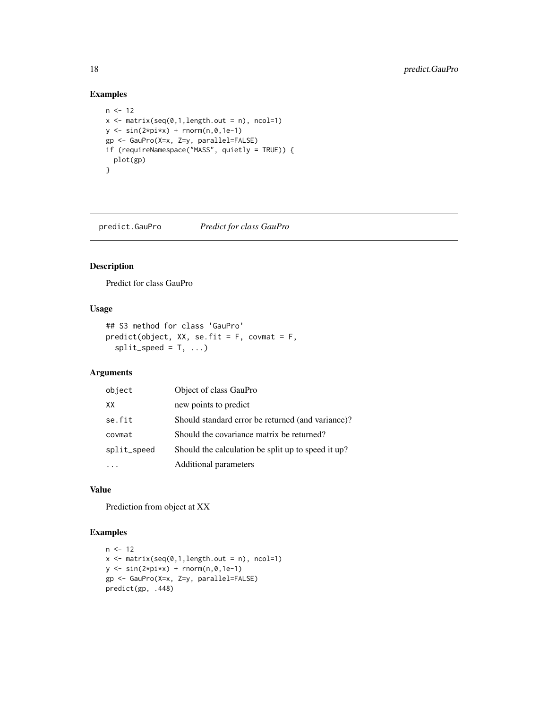# Examples

```
n < -12x \le - matrix(seq(0,1,length.out = n), ncol=1)
y \leftarrow \sin(2 \times \pi) + \text{norm}(n, \emptyset, 1e-1)gp <- GauPro(X=x, Z=y, parallel=FALSE)
if (requireNamespace("MASS", quietly = TRUE)) {
  plot(gp)
}
```
predict.GauPro *Predict for class GauPro*

# Description

Predict for class GauPro

# Usage

```
## S3 method for class 'GauPro'
predict(object, XX, se.fit = F, covmat = F,
 split\_speed = T, ...)
```
#### Arguments

| object      | Object of class GauPro                             |  |
|-------------|----------------------------------------------------|--|
| XX          | new points to predict                              |  |
| se.fit      | Should standard error be returned (and variance)?  |  |
| covmat      | Should the covariance matrix be returned?          |  |
| split_speed | Should the calculation be split up to speed it up? |  |
|             | Additional parameters                              |  |

# Value

Prediction from object at XX

# Examples

```
n < -12x \leftarrow \text{matrix}(\text{seq}(0,1,\text{length.out = n}), \text{ ncol=1})y \le -\sin(2\pi x) + \text{norm}(n, 0, 1e-1)gp <- GauPro(X=x, Z=y, parallel=FALSE)
predict(gp, .448)
```
<span id="page-17-0"></span>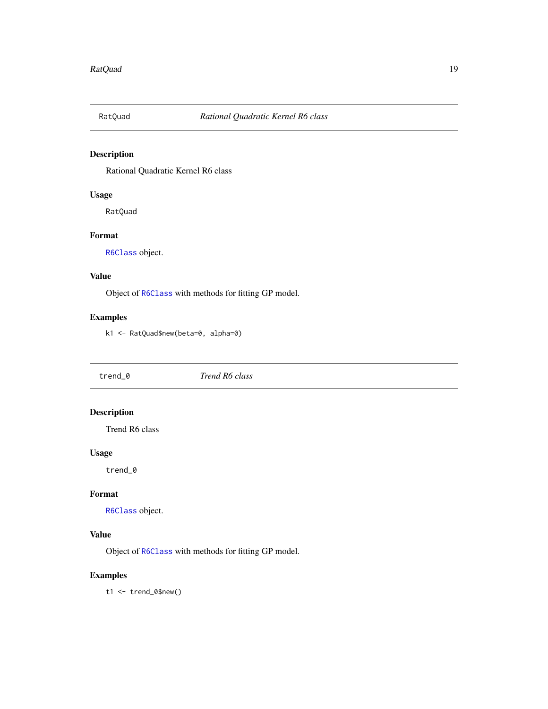<span id="page-18-0"></span>

Rational Quadratic Kernel R6 class

# Usage

RatQuad

#### Format

[R6Class](#page-0-0) object.

# Value

Object of [R6Class](#page-0-0) with methods for fitting GP model.

# Examples

k1 <- RatQuad\$new(beta=0, alpha=0)

trend\_0 *Trend R6 class*

# Description

Trend R6 class

# Usage

trend\_0

#### Format

[R6Class](#page-0-0) object.

# Value

Object of [R6Class](#page-0-0) with methods for fitting GP model.

# Examples

t1 <- trend\_0\$new()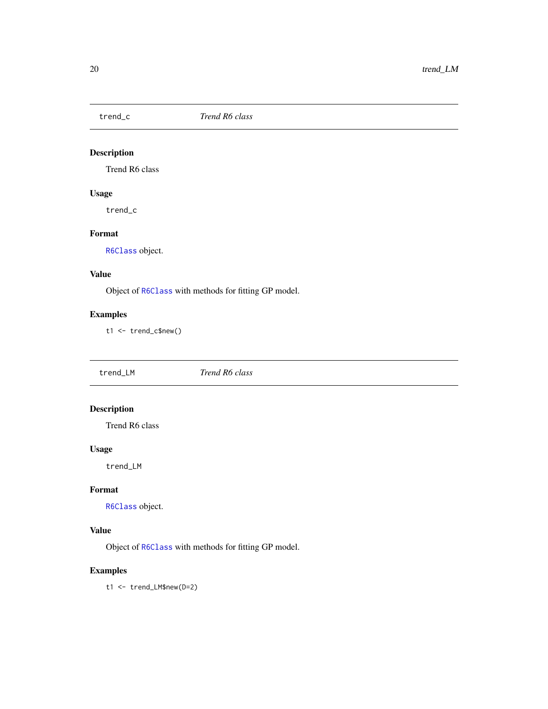<span id="page-19-0"></span>

Trend R6 class

# Usage

trend\_c

# Format

[R6Class](#page-0-0) object.

# Value

Object of [R6Class](#page-0-0) with methods for fitting GP model.

# Examples

t1 <- trend\_c\$new()

| trend_LM | Trend R6 class |  |
|----------|----------------|--|
|          |                |  |

# Description

Trend R6 class

# Usage

trend\_LM

#### Format

[R6Class](#page-0-0) object.

# Value

Object of [R6Class](#page-0-0) with methods for fitting GP model.

# Examples

t1 <- trend\_LM\$new(D=2)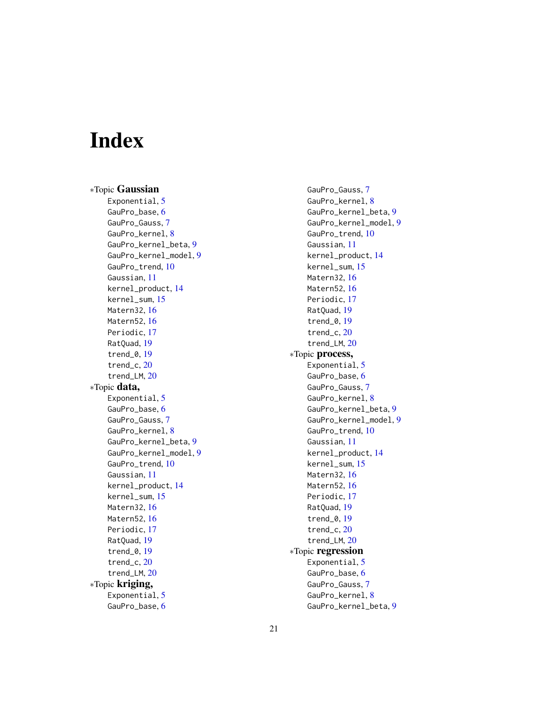# <span id="page-20-0"></span>Index

∗Topic Gaussian Exponential, [5](#page-4-0) GauPro\_base, [6](#page-5-0) GauPro\_Gauss, [7](#page-6-0) GauPro\_kernel, [8](#page-7-0) GauPro\_kernel\_beta, [9](#page-8-0) GauPro\_kernel\_model, [9](#page-8-0) GauPro\_trend, [10](#page-9-0) Gaussian, [11](#page-10-0) kernel\_product, [14](#page-13-0) kernel\_sum, [15](#page-14-0) Matern32, [16](#page-15-0) Matern52, [16](#page-15-0) Periodic, [17](#page-16-0) RatQuad, [19](#page-18-0) trend\_0, [19](#page-18-0) trend\_c, [20](#page-19-0) trend\_LM, [20](#page-19-0) ∗Topic data, Exponential, [5](#page-4-0) GauPro\_base, [6](#page-5-0) GauPro\_Gauss, [7](#page-6-0) GauPro\_kernel, [8](#page-7-0) GauPro\_kernel\_beta, [9](#page-8-0) GauPro\_kernel\_model, [9](#page-8-0) GauPro\_trend, [10](#page-9-0) Gaussian, [11](#page-10-0) kernel\_product, [14](#page-13-0) kernel\_sum, [15](#page-14-0) Matern32, [16](#page-15-0) Matern52, [16](#page-15-0) Periodic, [17](#page-16-0) RatQuad, [19](#page-18-0) trend\_0, [19](#page-18-0) trend\_c, [20](#page-19-0) trend\_LM, [20](#page-19-0) ∗Topic kriging, Exponential, [5](#page-4-0) GauPro\_base, [6](#page-5-0)

GauPro\_Gauss, [7](#page-6-0) GauPro\_kernel, [8](#page-7-0) GauPro\_kernel\_beta, [9](#page-8-0) GauPro\_kernel\_model, [9](#page-8-0) GauPro\_trend, [10](#page-9-0) Gaussian, [11](#page-10-0) kernel\_product, [14](#page-13-0) kernel\_sum, [15](#page-14-0) Matern32, [16](#page-15-0) Matern52, [16](#page-15-0) Periodic, [17](#page-16-0) RatQuad, [19](#page-18-0) trend\_0, [19](#page-18-0) trend\_c, [20](#page-19-0) trend\_LM, [20](#page-19-0) ∗Topic process, Exponential, [5](#page-4-0) GauPro\_base, [6](#page-5-0) GauPro\_Gauss, [7](#page-6-0) GauPro\_kernel, [8](#page-7-0) GauPro\_kernel\_beta, [9](#page-8-0) GauPro\_kernel\_model, [9](#page-8-0) GauPro\_trend, [10](#page-9-0) Gaussian, [11](#page-10-0) kernel\_product, [14](#page-13-0) kernel\_sum, [15](#page-14-0) Matern32, [16](#page-15-0) Matern52, [16](#page-15-0) Periodic, [17](#page-16-0) RatQuad, [19](#page-18-0) trend\_0, [19](#page-18-0) trend\_c, [20](#page-19-0) trend\_LM, [20](#page-19-0) ∗Topic regression Exponential, [5](#page-4-0) GauPro\_base, [6](#page-5-0) GauPro\_Gauss, [7](#page-6-0) GauPro\_kernel, [8](#page-7-0) GauPro\_kernel\_beta, [9](#page-8-0)